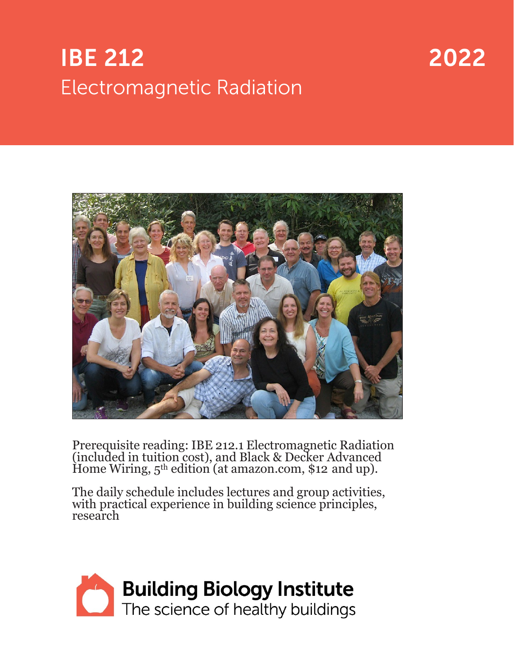# **IBE 212 Electromagnetic Radiation**

# 2022



Prerequisite reading: IBE 212.1 Electromagnetic Radiation (included in tuition cost), and Black & Decker Advanced Home Wiring, 5<sup>th</sup> edition (at amazon.com, \$12 and up).

The daily schedule includes lectures and group activities, with practical experience in building science principles, research

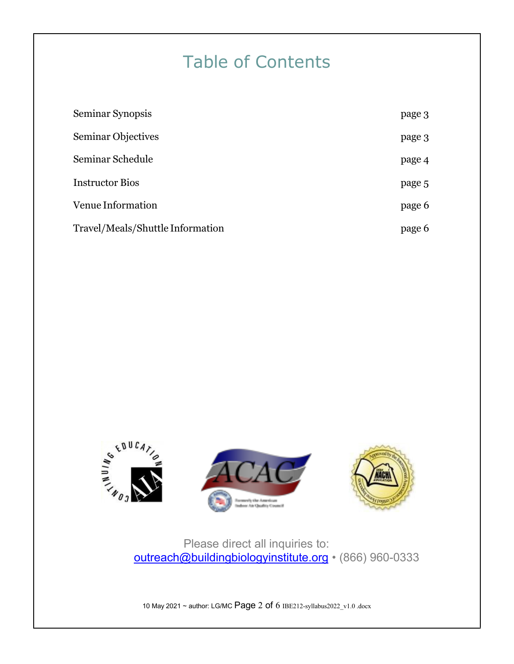## Table of Contents

| Seminar Synopsis                 | page 3 |
|----------------------------------|--------|
| Seminar Objectives               | page 3 |
| Seminar Schedule                 | page 4 |
| <b>Instructor Bios</b>           | page 5 |
| Venue Information                | page 6 |
| Travel/Meals/Shuttle Information | page 6 |



## Please direct all inquiries to: [outreach@buildingbiologyinstitute.org](mailto:outreach@buildingbiologyinstitute.org) • (866) 960-0333

10 May 2021 ~ author: LG/MC Page 2 of 6 IBE212-syllabus2022\_v1.0 .docx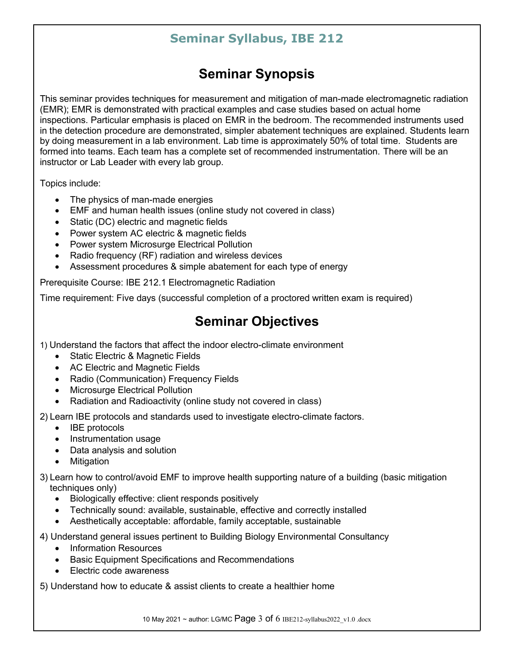## **Seminar Synopsis**

This seminar provides techniques for measurement and mitigation of man-made electromagnetic radiation (EMR); EMR is demonstrated with practical examples and case studies based on actual home inspections. Particular emphasis is placed on EMR in the bedroom. The recommended instruments used in the detection procedure are demonstrated, simpler abatement techniques are explained. Students learn by doing measurement in a lab environment. Lab time is approximately 50% of total time. Students are formed into teams. Each team has a complete set of recommended instrumentation. There will be an instructor or Lab Leader with every lab group.

Topics include:

- The physics of man-made energies
- EMF and human health issues (online study not covered in class)
- Static (DC) electric and magnetic fields
- Power system AC electric & magnetic fields
- Power system Microsurge Electrical Pollution
- Radio frequency (RF) radiation and wireless devices
- Assessment procedures & simple abatement for each type of energy

Prerequisite Course: IBE 212.1 Electromagnetic Radiation

Time requirement: Five days (successful completion of a proctored written exam is required)

## **Seminar Objectives**

1) Understand the factors that affect the indoor electro-climate environment

- Static Electric & Magnetic Fields
- AC Electric and Magnetic Fields
- Radio (Communication) Frequency Fields
- Microsurge Electrical Pollution
- Radiation and Radioactivity (online study not covered in class)

2) Learn IBE protocols and standards used to investigate electro-climate factors.

- **IBE** protocols
- Instrumentation usage
- Data analysis and solution
- **Mitigation**
- 3) Learn how to control/avoid EMF to improve health supporting nature of a building (basic mitigation techniques only)
	- Biologically effective: client responds positively
	- Technically sound: available, sustainable, effective and correctly installed
	- Aesthetically acceptable: affordable, family acceptable, sustainable

4) Understand general issues pertinent to Building Biology Environmental Consultancy

- Information Resources
- Basic Equipment Specifications and Recommendations
- Electric code awareness

5) Understand how to educate & assist clients to create a healthier home

10 May 2021 ~ author: LG/MC Page 3 of 6 IBE212-syllabus2022\_v1.0 .docx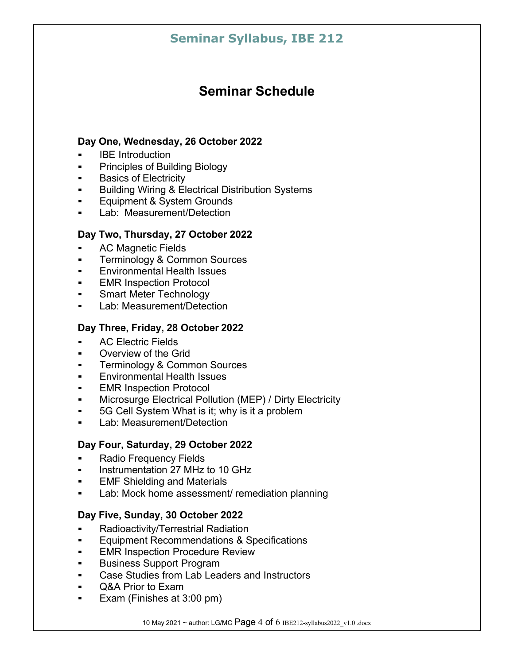## **Seminar Schedule**

#### **Day One, Wednesday, 26 October 2022**

- **IBE** Introduction
- **•** Principles of Building Biology
- Basics of Electricity
- Building Wiring & Electrical Distribution Systems
- Equipment & System Grounds
- Lab: Measurement/Detection

#### **Day Two, Thursday, 27 October 2022**

- AC Magnetic Fields
- **Terminology & Common Sources**
- Environmental Health Issues
- **EMR Inspection Protocol**
- **Smart Meter Technology**
- Lab: Measurement/Detection

#### **Day Three, Friday, 28 October 2022**

- **AC Electric Fields**
- Overview of the Grid
- **Terminology & Common Sources**
- Environmental Health Issues
- **EMR Inspection Protocol**
- Microsurge Electrical Pollution (MEP) / Dirty Electricity
- **.** 5G Cell System What is it; why is it a problem
- Lab: Measurement/Detection

#### **Day Four, Saturday, 29 October 2022**

- **Radio Frequency Fields**
- Instrumentation 27 MHz to 10 GHz
- EMF Shielding and Materials
- Lab: Mock home assessment/ remediation planning

#### **Day Five, Sunday, 30 October 2022**

- **Radioactivity/Terrestrial Radiation**
- **Equipment Recommendations & Specifications**
- **EMR Inspection Procedure Review**
- Business Support Program
- Case Studies from Lab Leaders and Instructors
- Q&A Prior to Exam
- Exam (Finishes at 3:00 pm)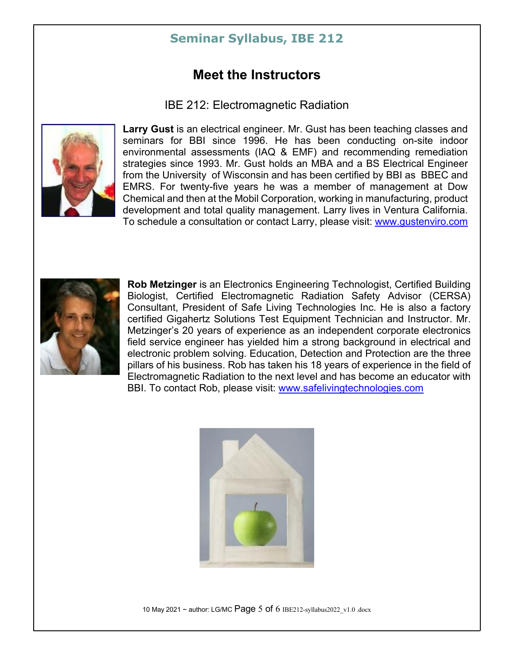### **Meet the Instructors**

IBE 212: Electromagnetic Radiation



**Larry Gust** is an electrical engineer. Mr. Gust has been teaching classes and seminars for BBI since 1996. He has been conducting on-site indoor environmental assessments (IAQ & EMF) and recommending remediation strategies since 1993. Mr. Gust holds an MBA and a BS Electrical Engineer from the University of Wisconsin and has been certified by BBI as BBEC and EMRS. For twenty-five years he was a member of management at Dow Chemical and then at the Mobil Corporation, working in manufacturing, product development and total quality management. Larry lives in Ventura California. To schedule a consultation or contact Larry, please visit: [www.gustenviro.com](http://www.gustenviro.com/)



**Rob Metzinger** is an Electronics Engineering Technologist, Certified Building Biologist, Certified Electromagnetic Radiation Safety Advisor (CERSA) Consultant, President of Safe Living Technologies Inc. He is also a factory certified Gigahertz Solutions Test Equipment Technician and Instructor. Mr. Metzinger's 20 years of experience as an independent corporate electronics field service engineer has yielded him a strong background in electrical and electronic problem solving. Education, Detection and Protection are the three pillars of his business. Rob has taken his 18 years of experience in the field of Electromagnetic Radiation to the next level and has become an educator with BBI. To contact Rob, please visit: [www.safelivingtechnologies.com](http://www.safelivingtechnologies.com/)



10 May 2021 ~ author: LG/MC Page 5 of 6 IBE212-syllabus2022\_v1.0 .docx